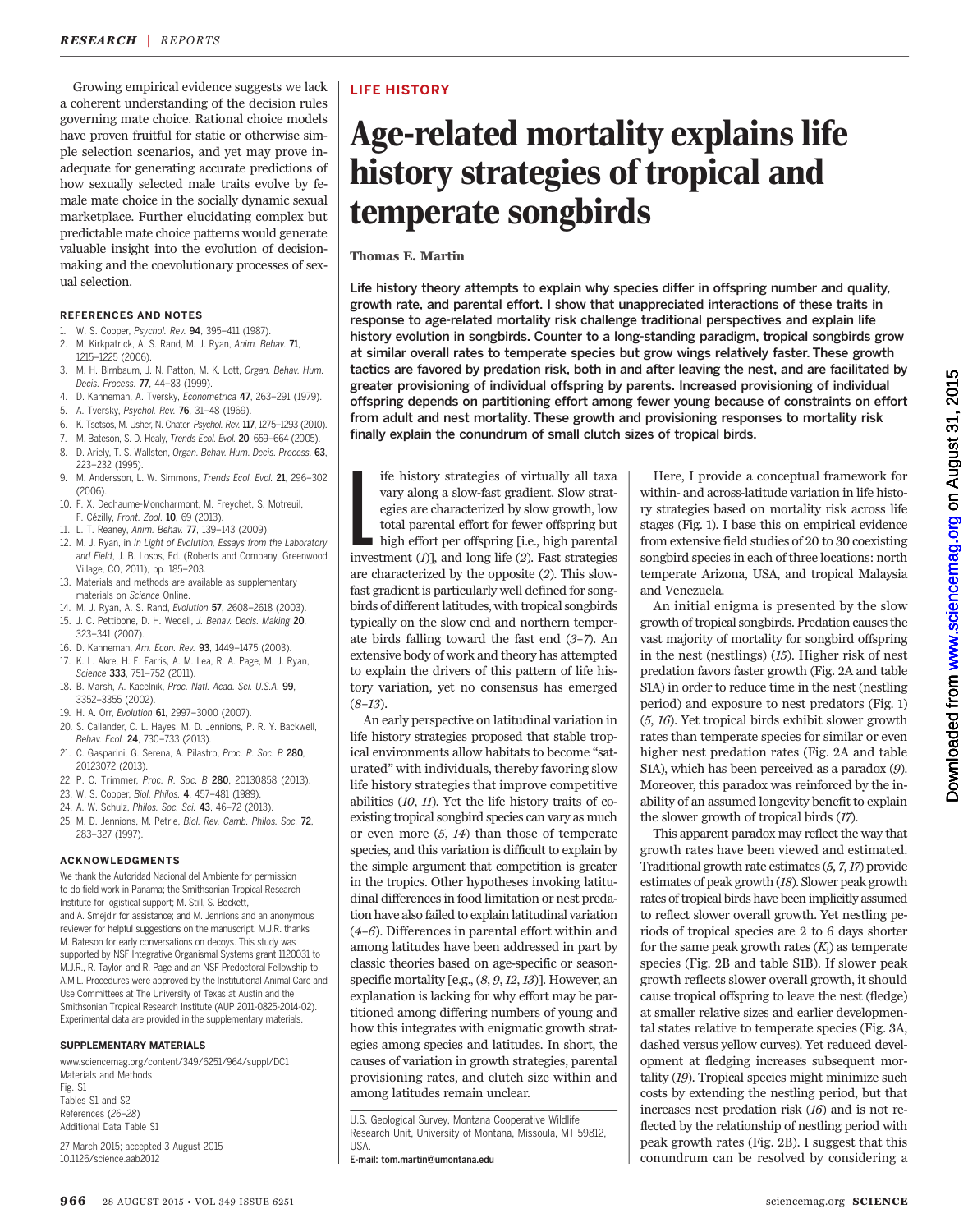Growing empirical evidence suggests we lack a coherent understanding of the decision rules governing mate choice. Rational choice models have proven fruitful for static or otherwise simple selection scenarios, and yet may prove inadequate for generating accurate predictions of how sexually selected male traits evolve by female mate choice in the socially dynamic sexual marketplace. Further elucidating complex but predictable mate choice patterns would generate valuable insight into the evolution of decisionmaking and the coevolutionary processes of sexual selection.

#### REFERENCES AND NOTES

- 1. W. S. Cooper, Psychol. Rev. 94, 395–411 (1987).
- 2. M. Kirkpatrick, A. S. Rand, M. J. Ryan, Anim. Behav. 71, 1215–1225 (2006).
- 3. M. H. Birnbaum, J. N. Patton, M. K. Lott, Organ. Behav. Hum. Decis. Process. 77, 44–83 (1999).
- 4. D. Kahneman, A. Tversky, Econometrica 47, 263–291 (1979).
- 5. A. Tversky, Psychol. Rev. 76, 31–48 (1969).
- 6. K. Tsetsos, M. Usher, N. Chater, Psychol. Rev. 117, 1275–1293 (2010).
- 7. M. Bateson, S. D. Healy, Trends Ecol. Evol. 20, 659–664 (2005).
- 8. D. Ariely, T. S. Wallsten, Organ. Behav. Hum. Decis. Process. 63, 223–232 (1995).
- 9. M. Andersson, L. W. Simmons, Trends Ecol. Evol. 21, 296–302 (2006).
- 10. F. X. Dechaume-Moncharmont, M. Freychet, S. Motreuil, F. Cézilly, Front. Zool. 10, 69 (2013).
- 11. L. T. Reaney, Anim. Behav. 77, 139–143 (2009).
- 12. M. J. Ryan, in In Light of Evolution, Essays from the Laboratory and Field, J. B. Losos, Ed. (Roberts and Company, Greenwood Village, CO, 2011), pp. 185–203.
- 13. Materials and methods are available as supplementary materials on Science Online.
- 14. M. J. Ryan, A. S. Rand, Evolution 57, 2608–2618 (2003).
- 15. J. C. Pettibone, D. H. Wedell, J. Behav. Decis. Making 20. 323–341 (2007).
- 16. D. Kahneman, Am. Econ. Rev. 93, 1449–1475 (2003).
- 17. K. L. Akre, H. E. Farris, A. M. Lea, R. A. Page, M. J. Ryan, Science 333, 751-752 (2011).
- 18. B. Marsh, A. Kacelnik, Proc. Natl. Acad. Sci. U.S.A. 99, 3352–3355 (2002).
- 19. H. A. Orr, Evolution 61, 2997–3000 (2007).
- 20. S. Callander, C. L. Hayes, M. D. Jennions, P. R. Y. Backwell, Behav. Ecol. 24, 730–733 (2013).
- 21. C. Gasparini, G. Serena, A. Pilastro, Proc. R. Soc. B 280, 20123072 (2013).
- 22. P. C. Trimmer, Proc. R. Soc. B 280, 20130858 (2013).
- 23. W. S. Cooper, Biol. Philos. 4, 457–481 (1989).
- 24. A. W. Schulz, Philos. Soc. Sci. 43, 46–72 (2013).
- 25. M. D. Jennions, M. Petrie, Biol. Rev. Camb. Philos. Soc. 72, 283–327 (1997).

#### ACKNOWLEDGMENTS

We thank the Autoridad Nacional del Ambiente for permission to do field work in Panama; the Smithsonian Tropical Research Institute for logistical support; M. Still, S. Beckett, and A. Smejdir for assistance; and M. Jennions and an anonymous reviewer for helpful suggestions on the manuscript. M.J.R. thanks M. Bateson for early conversations on decoys. This study was supported by NSF Integrative Organismal Systems grant 1120031 to M.J.R., R. Taylor, and R. Page and an NSF Predoctoral Fellowship to A.M.L. Procedures were approved by the Institutional Animal Care and Use Committees at The University of Texas at Austin and the Smithsonian Tropical Research Institute (AUP 2011-0825-2014-02). Experimental data are provided in the supplementary materials.

#### SUPPLEMENTARY MATERIALS

www.sciencemag.org/content/349/6251/964/suppl/DC1 Materials and Methods Fig. S1 Tables S1 and S2 References (26–28) Additional Data Table S1

27 March 2015; accepted 3 August 2015 10.1126/science.aab2012

## LIFE HISTORY

## Age-related mortality explains life history strategies of tropical and temperate songbirds

### Thomas E. Martin

Life history theory attempts to explain why species differ in offspring number and quality, growth rate, and parental effort. I show that unappreciated interactions of these traits in response to age-related mortality risk challenge traditional perspectives and explain life history evolution in songbirds. Counter to a long-standing paradigm, tropical songbirds grow at similar overall rates to temperate species but grow wings relatively faster. These growth tactics are favored by predation risk, both in and after leaving the nest, and are facilitated by greater provisioning of individual offspring by parents. Increased provisioning of individual offspring depends on partitioning effort among fewer young because of constraints on effort from adult and nest mortality. These growth and provisioning responses to mortality risk finally explain the conundrum of small clutch sizes of tropical birds.

ife history strategies of virtually all taxa<br>vary along a slow-fast gradient. Slow strat-<br>egies are characterized by slow growth, low<br>total parental effort for fewer offspring but<br>high effort per offspring [i.e., high pare ife history strategies of virtually all taxa vary along a slow-fast gradient. Slow strategies are characterized by slow growth, low total parental effort for fewer offspring but high effort per offspring [i.e., high parental are characterized by the opposite (2). This slowfast gradient is particularly well defined for songbirds of different latitudes, with tropical songbirds typically on the slow end and northern temperate birds falling toward the fast end (3–7). An extensive body of work and theory has attempted to explain the drivers of this pattern of life history variation, yet no consensus has emerged  $(8-13).$ 

An early perspective on latitudinal variation in life history strategies proposed that stable tropical environments allow habitats to become "saturated" with individuals, thereby favoring slow life history strategies that improve competitive abilities (10, 11). Yet the life history traits of coexisting tropical songbird species can vary as much or even more (5, 14) than those of temperate species, and this variation is difficult to explain by the simple argument that competition is greater in the tropics. Other hypotheses invoking latitudinal differences in food limitation or nest predation have also failed to explain latitudinal variation (4–6). Differences in parental effort within and among latitudes have been addressed in part by classic theories based on age-specific or seasonspecific mortality [e.g., (8, 9, 12,13)]. However, an explanation is lacking for why effort may be partitioned among differing numbers of young and how this integrates with enigmatic growth strategies among species and latitudes. In short, the causes of variation in growth strategies, parental provisioning rates, and clutch size within and among latitudes remain unclear.

U.S. Geological Survey, Montana Cooperative Wildlife Research Unit, University of Montana, Missoula, MT 59812, USA.

E-mail: tom.martin@umontana.edu

Here, I provide a conceptual framework for within- and across-latitude variation in life history strategies based on mortality risk across life stages (Fig. 1). I base this on empirical evidence from extensive field studies of 20 to 30 coexisting songbird species in each of three locations: north temperate Arizona, USA, and tropical Malaysia and Venezuela.

An initial enigma is presented by the slow growth of tropical songbirds. Predation causes the vast majority of mortality for songbird offspring in the nest (nestlings) (15). Higher risk of nest predation favors faster growth (Fig. 2A and table S1A) in order to reduce time in the nest (nestling period) and exposure to nest predators (Fig. 1) (5, 16). Yet tropical birds exhibit slower growth rates than temperate species for similar or even higher nest predation rates (Fig. 2A and table S1A), which has been perceived as a paradox (9). Moreover, this paradox was reinforced by the inability of an assumed longevity benefit to explain the slower growth of tropical birds (17).

This apparent paradox may reflect the way that growth rates have been viewed and estimated. Traditional growth rate estimates (5, 7,17) provide estimates of peak growth (18). Slower peak growth rates of tropical birds have been implicitly assumed to reflect slower overall growth. Yet nestling periods of tropical species are 2 to 6 days shorter for the same peak growth rates  $(K_i)$  as temperate species (Fig. 2B and table S1B). If slower peak growth reflects slower overall growth, it should cause tropical offspring to leave the nest (fledge) at smaller relative sizes and earlier developmental states relative to temperate species (Fig. 3A, dashed versus yellow curves). Yet reduced development at fledging increases subsequent mortality (19). Tropical species might minimize such costs by extending the nestling period, but that increases nest predation risk  $(I6)$  and is not reflected by the relationship of nestling period with peak growth rates (Fig. 2B). I suggest that this conundrum can be resolved by considering a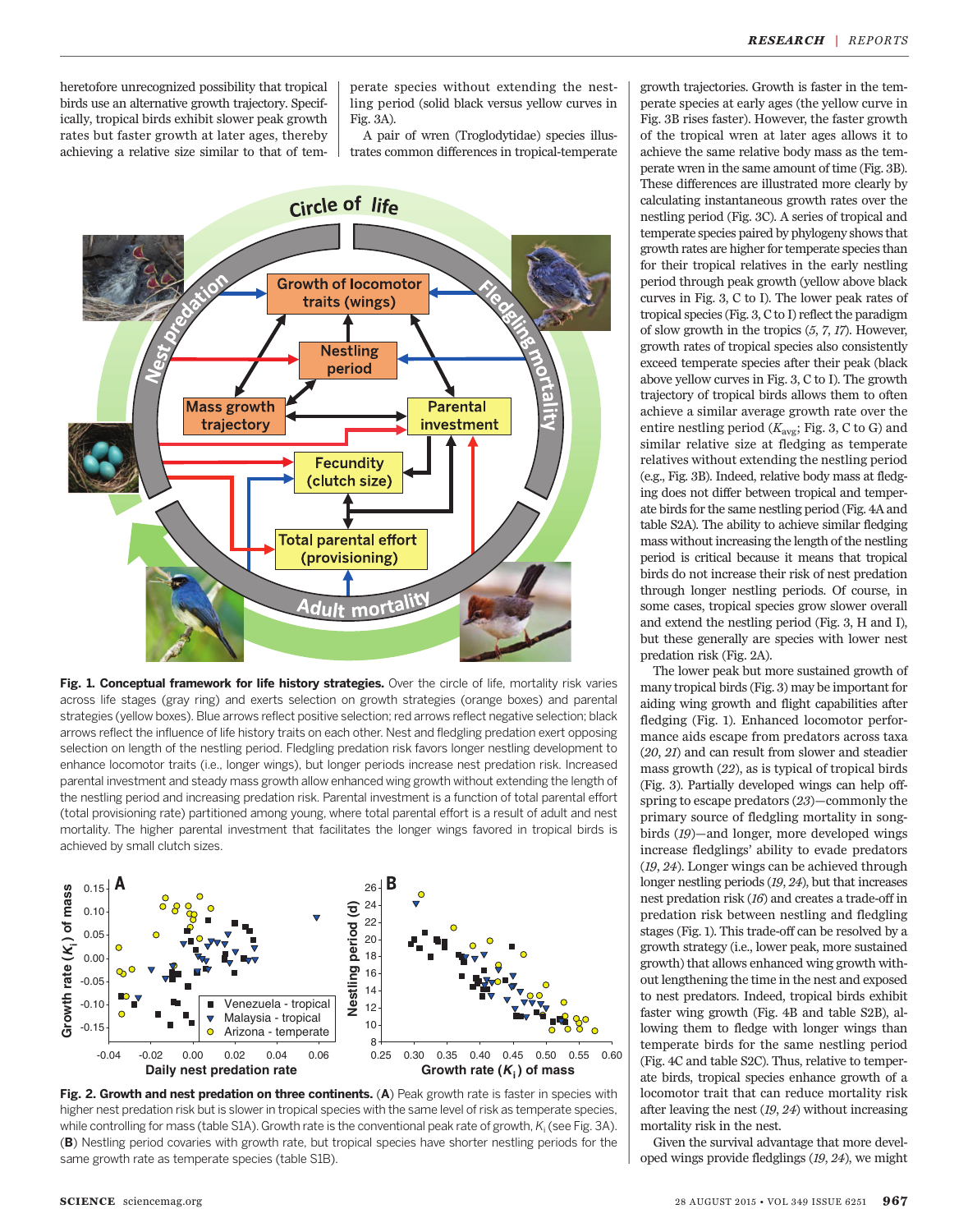heretofore unrecognized possibility that tropical birds use an alternative growth trajectory. Specifically, tropical birds exhibit slower peak growth rates but faster growth at later ages, thereby achieving a relative size similar to that of tem-

perate species without extending the nestling period (solid black versus yellow curves in Fig. 3A).

A pair of wren (Troglodytidae) species illustrates common differences in tropical-temperate



Fig. 1. Conceptual framework for life history strategies. Over the circle of life, mortality risk varies across life stages (gray ring) and exerts selection on growth strategies (orange boxes) and parental strategies (yellow boxes). Blue arrows reflect positive selection; red arrows reflect negative selection; black arrows reflect the influence of life history traits on each other. Nest and fledgling predation exert opposing selection on length of the nestling period. Fledgling predation risk favors longer nestling development to enhance locomotor traits (i.e., longer wings), but longer periods increase nest predation risk. Increased parental investment and steady mass growth allow enhanced wing growth without extending the length of the nestling period and increasing predation risk. Parental investment is a function of total parental effort (total provisioning rate) partitioned among young, where total parental effort is a result of adult and nest mortality. The higher parental investment that facilitates the longer wings favored in tropical birds is achieved by small clutch sizes.





growth trajectories. Growth is faster in the temperate species at early ages (the yellow curve in Fig. 3B rises faster). However, the faster growth of the tropical wren at later ages allows it to achieve the same relative body mass as the temperate wren in the same amount of time (Fig. 3B). These differences are illustrated more clearly by calculating instantaneous growth rates over the nestling period (Fig. 3C). A series of tropical and temperate species paired by phylogeny shows that growth rates are higher for temperate species than for their tropical relatives in the early nestling period through peak growth (yellow above black curves in Fig. 3, C to I). The lower peak rates of tropical species (Fig. 3, C to I) reflect the paradigm of slow growth in the tropics (5, 7, 17). However, growth rates of tropical species also consistently exceed temperate species after their peak (black above yellow curves in Fig. 3, C to I). The growth trajectory of tropical birds allows them to often achieve a similar average growth rate over the entire nestling period  $(K_{\text{avg}};$  Fig. 3, C to G) and similar relative size at fledging as temperate relatives without extending the nestling period (e.g., Fig. 3B). Indeed, relative body mass at fledging does not differ between tropical and temperate birds for the same nestling period (Fig. 4A and table S2A). The ability to achieve similar fledging mass without increasing the length of the nestling period is critical because it means that tropical birds do not increase their risk of nest predation through longer nestling periods. Of course, in some cases, tropical species grow slower overall and extend the nestling period (Fig. 3, H and I), but these generally are species with lower nest predation risk (Fig. 2A).

The lower peak but more sustained growth of many tropical birds (Fig. 3) may be important for aiding wing growth and flight capabilities after fledging (Fig. 1). Enhanced locomotor performance aids escape from predators across taxa (20, 21) and can result from slower and steadier mass growth (22), as is typical of tropical birds (Fig. 3). Partially developed wings can help offspring to escape predators (23)—commonly the primary source of fledgling mortality in songbirds (19)—and longer, more developed wings increase fledglings' ability to evade predators (19, 24). Longer wings can be achieved through longer nestling periods (19, 24), but that increases nest predation risk (16) and creates a trade-off in predation risk between nestling and fledgling stages (Fig. 1). This trade-off can be resolved by a growth strategy (i.e., lower peak, more sustained growth) that allows enhanced wing growth without lengthening the time in the nest and exposed to nest predators. Indeed, tropical birds exhibit faster wing growth (Fig. 4B and table S2B), allowing them to fledge with longer wings than temperate birds for the same nestling period (Fig. 4C and table S2C). Thus, relative to temperate birds, tropical species enhance growth of a locomotor trait that can reduce mortality risk after leaving the nest (19, 24) without increasing mortality risk in the nest.

Given the survival advantage that more developed wings provide fledglings (19, 24), we might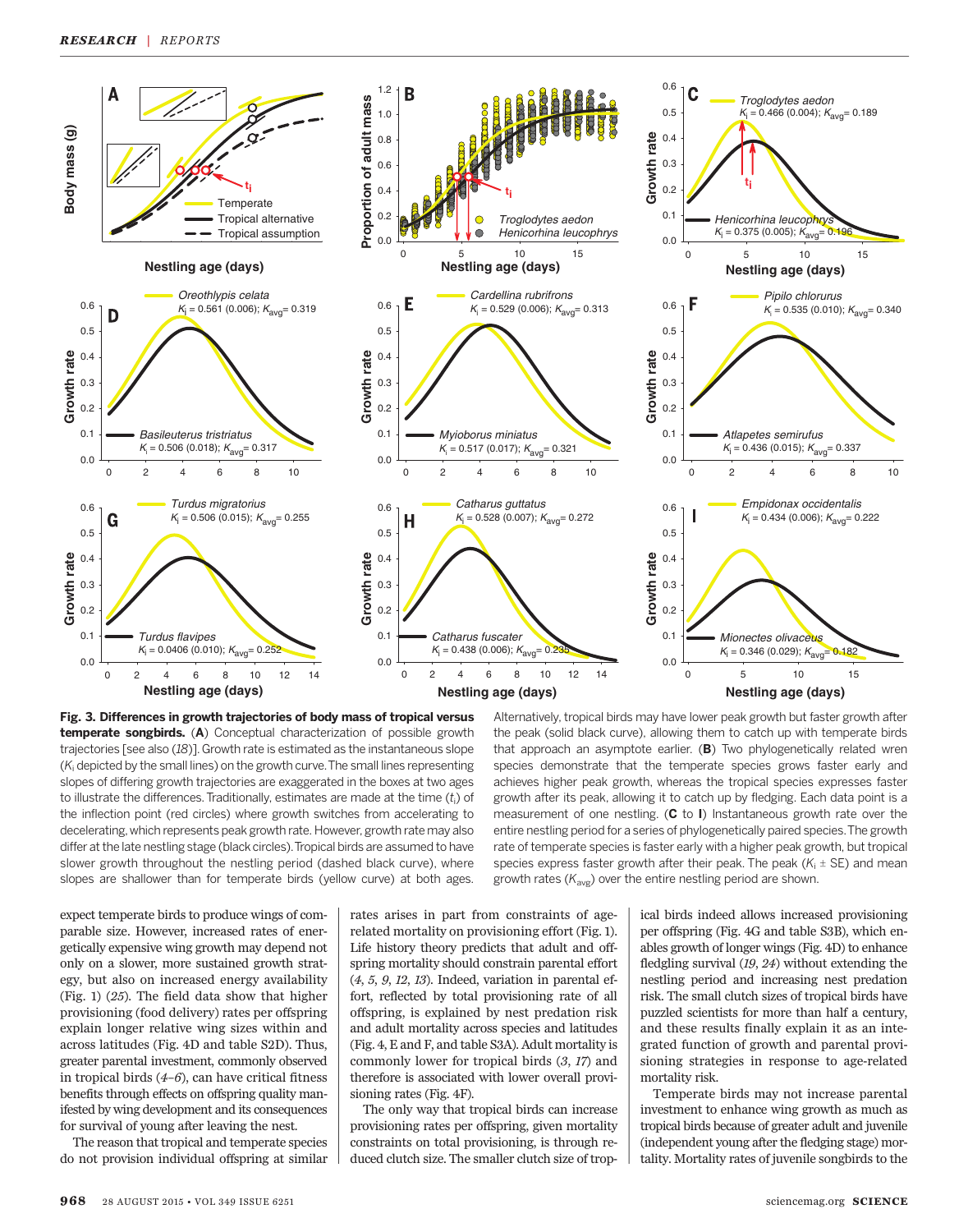

Fig. 3. Differences in growth trajectories of body mass of tropical versus temperate songbirds. (A) Conceptual characterization of possible growth trajectories [see also (18)]. Growth rate is estimated as the instantaneous slope (K<sub>i</sub> depicted by the small lines) on the growth curve. The small lines representing slopes of differing growth trajectories are exaggerated in the boxes at two ages to illustrate the differences. Traditionally, estimates are made at the time  $\left(t_{\mathsf{i}}\right)$  of the inflection point (red circles) where growth switches from accelerating to decelerating, which represents peak growth rate. However, growth rate may also differ at the late nestling stage (black circles).Tropical birds are assumed to have slower growth throughout the nestling period (dashed black curve), where slopes are shallower than for temperate birds (yellow curve) at both ages.

expect temperate birds to produce wings of comparable size. However, increased rates of energetically expensive wing growth may depend not only on a slower, more sustained growth strategy, but also on increased energy availability (Fig. 1) (25). The field data show that higher provisioning (food delivery) rates per offspring explain longer relative wing sizes within and across latitudes (Fig. 4D and table S2D). Thus, greater parental investment, commonly observed in tropical birds  $(4-6)$ , can have critical fitness benefits through effects on offspring quality manifested by wing development and its consequences for survival of young after leaving the nest.

The reason that tropical and temperate species do not provision individual offspring at similar

rates arises in part from constraints of agerelated mortality on provisioning effort (Fig. 1). Life history theory predicts that adult and offspring mortality should constrain parental effort (4, 5, 9, 12, 13). Indeed, variation in parental effort, reflected by total provisioning rate of all offspring, is explained by nest predation risk and adult mortality across species and latitudes (Fig. 4, E and F, and table S3A). Adult mortality is commonly lower for tropical birds (3, 17) and therefore is associated with lower overall provisioning rates (Fig. 4F).

The only way that tropical birds can increase provisioning rates per offspring, given mortality constraints on total provisioning, is through reduced clutch size. The smaller clutch size of trop-

Alternatively, tropical birds may have lower peak growth but faster growth after the peak (solid black curve), allowing them to catch up with temperate birds that approach an asymptote earlier. (B) Two phylogenetically related wren species demonstrate that the temperate species grows faster early and achieves higher peak growth, whereas the tropical species expresses faster growth after its peak, allowing it to catch up by fledging. Each data point is a measurement of one nestling.  $(C \t{ to } I)$  Instantaneous growth rate over the entire nestling period for a series of phylogenetically paired species.The growth rate of temperate species is faster early with a higher peak growth, but tropical species express faster growth after their peak. The peak  $(K<sub>i</sub> \pm SE)$  and mean growth rates  $(K_{avg})$  over the entire nestling period are shown.

ical birds indeed allows increased provisioning per offspring (Fig. 4G and table S3B), which enables growth of longer wings (Fig. 4D) to enhance fledgling survival (19, 24) without extending the nestling period and increasing nest predation risk. The small clutch sizes of tropical birds have puzzled scientists for more than half a century, and these results finally explain it as an integrated function of growth and parental provisioning strategies in response to age-related mortality risk.

Temperate birds may not increase parental investment to enhance wing growth as much as tropical birds because of greater adult and juvenile (independent young after the fledging stage) mortality. Mortality rates of juvenile songbirds to the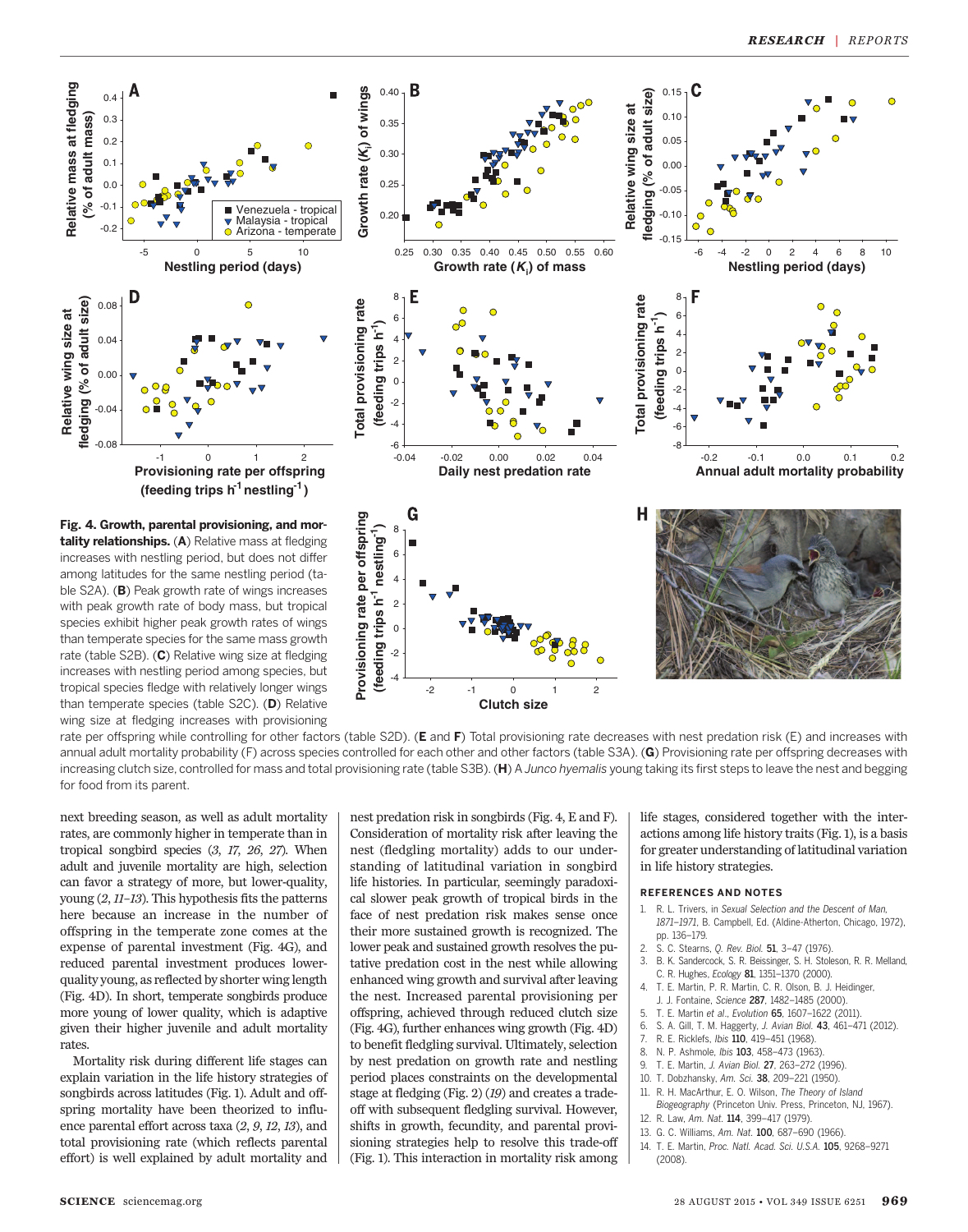

Fig. 4. Growth, parental provisioning, and mor-<br>tality relationships. (A) Relative mass at fledging<br>increases with nestling period, but does not differ<br>among latitudes for the same nestling period (ta-<br>ble S2A). (B) Peak tality relationships. (A) Relative mass at fledging increases with nestling period, but does not differ among latitudes for the same nestling period (table S2A). (B) Peak growth rate of wings increases with peak growth rate of body mass, but tropical species exhibit higher peak growth rates of wings than temperate species for the same mass growth rate (table S2B). (C) Relative wing size at fledging increases with nestling period among species, but tropical species fledge with relatively longer wings than temperate species (table S2C). (D) Relative wing size at fledging increases with provisioning



rate per offspring while controlling for other factors (table S2D). (E and F) Total provisioning rate decreases with nest predation risk (E) and increases with annual adult mortality probability (F) across species controlled for each other and other factors (table S3A). (G) Provisioning rate per offspring decreases with increasing clutch size, controlled for mass and total provisioning rate (table S3B). (H) A Junco hyemalis young taking its first steps to leave the nest and begging for food from its parent.

**Clutch size**

next breeding season, as well as adult mortality rates, are commonly higher in temperate than in tropical songbird species (3, 17, 26, 27). When adult and juvenile mortality are high, selection can favor a strategy of more, but lower-quality, young (2, 11–13). This hypothesis fits the patterns here because an increase in the number of offspring in the temperate zone comes at the expense of parental investment (Fig. 4G), and reduced parental investment produces lowerquality young, as reflected by shorter wing length (Fig. 4D). In short, temperate songbirds produce more young of lower quality, which is adaptive given their higher juvenile and adult mortality rates.

Mortality risk during different life stages can explain variation in the life history strategies of songbirds across latitudes (Fig. 1). Adult and offspring mortality have been theorized to influence parental effort across taxa (2, 9, 12, 13), and total provisioning rate (which reflects parental effort) is well explained by adult mortality and nest predation risk in songbirds (Fig. 4, E and F). Consideration of mortality risk after leaving the nest (fledgling mortality) adds to our understanding of latitudinal variation in songbird life histories. In particular, seemingly paradoxical slower peak growth of tropical birds in the face of nest predation risk makes sense once their more sustained growth is recognized. The lower peak and sustained growth resolves the putative predation cost in the nest while allowing enhanced wing growth and survival after leaving the nest. Increased parental provisioning per offspring, achieved through reduced clutch size (Fig. 4G), further enhances wing growth (Fig. 4D) to benefit fledgling survival. Ultimately, selection by nest predation on growth rate and nestling period places constraints on the developmental stage at fledging (Fig. 2) (19) and creates a tradeoff with subsequent fledgling survival. However, shifts in growth, fecundity, and parental provisioning strategies help to resolve this trade-off (Fig. 1). This interaction in mortality risk among life stages, considered together with the interactions among life history traits (Fig. 1), is a basis for greater understanding of latitudinal variation in life history strategies.

#### REFERENCES AND NOTES

- 1. R. L. Trivers, in Sexual Selection and the Descent of Man 1871*–*1971, B. Campbell, Ed. (Aldine-Atherton, Chicago, 1972), pp. 136–179.
- 2. S. C. Stearns, Q. Rev. Biol. 51, 3–47 (1976).
- 3. B. K. Sandercock, S. R. Beissinger, S. H. Stoleson, R. R. Melland, C. R. Hughes, Ecology 81, 1351–1370 (2000).
- 4. T. E. Martin, P. R. Martin, C. R. Olson, B. J. Heidinger,
- J. J. Fontaine, Science 287, 1482–1485 (2000).
- 5. T. E. Martin et al., Evolution 65, 1607–1622 (2011).
- 6. S. A. Gill, T. M. Haggerty, J. Avian Biol. 43, 461–471 (2012).
- 7. R. E. Ricklefs, Ibis 110, 419–451 (1968).
- 8. N. P. Ashmole, *Ibis* 103, 458-473 (1963).
- 9. T. E. Martin, J. Avian Biol. 27, 263–272 (1996).
- 10. T. Dobzhansky, Am. Sci. 38, 209–221 (1950).
- 11. R. H. MacArthur, E. O. Wilson, The Theory of Island
- Biogeography (Princeton Univ. Press, Princeton, NJ, 1967). 12. R. Law, Am. Nat. 114, 399–417 (1979).
- 
- 13. G. C. Williams, Am. Nat. 100, 687–690 (1966).
- 14. T. E. Martin, Proc. Natl. Acad. Sci. U.S.A. 105, 9268–9271 (2008).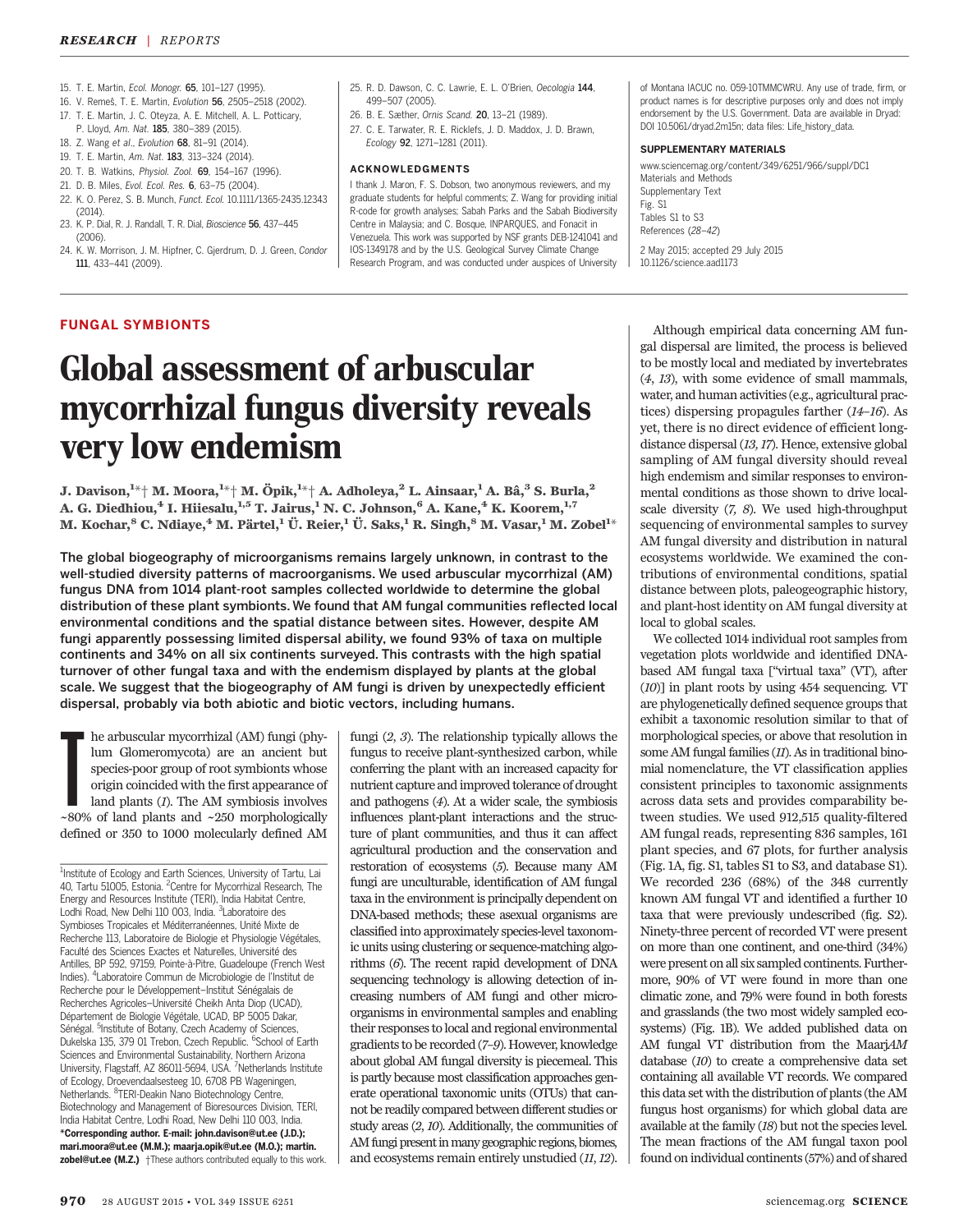- 15. T. E. Martin, Ecol. Monogr. 65, 101–127 (1995).
- 16. V. Remeŝ, T. E. Martin, Evolution 56, 2505–2518 (2002).
- 17. T. E. Martin, J. C. Oteyza, A. E. Mitchell, A. L. Potticary,
- P. Lloyd, Am. Nat. 185, 380-389 (2015).
- 18. Z. Wang et al., Evolution 68, 81–91 (2014).
- 19. T. E. Martin, Am. Nat. 183, 313–324 (2014).
- 20. T. B. Watkins, Physiol. Zool. 69, 154–167 (1996).
- 21. D. B. Miles, Evol. Ecol. Res. 6, 63–75 (2004).
- 22. K. O. Perez, S. B. Munch, Funct. Ecol. 10.1111/1365-2435.12343 (2014).
- 23. K. P. Dial, R. J. Randall, T. R. Dial, Bioscience 56, 437–445 (2006).
- 24. K. W. Morrison, J. M. Hipfner, C. Gjerdrum, D. J. Green, Condor 111, 433–441 (2009).
- 25. R. D. Dawson, C. C. Lawrie, E. L. O'Brien, Oecologia 144. 499–507 (2005).
- 26. B. E. Sæther, Ornis Scand. 20, 13–21 (1989).
- 27. C. E. Tarwater, R. E. Ricklefs, J. D. Maddox, J. D. Brawn, Ecology 92, 1271–1281 (2011).

#### ACKNOWLEDGMENTS

I thank J. Maron, F. S. Dobson, two anonymous reviewers, and my graduate students for helpful comments; Z. Wang for providing initial R-code for growth analyses; Sabah Parks and the Sabah Biodiversity Centre in Malaysia; and C. Bosque, INPARQUES, and Fonacit in Venezuela. This work was supported by NSF grants DEB-1241041 and IOS-1349178 and by the U.S. Geological Survey Climate Change Research Program, and was conducted under auspices of University

of Montana IACUC no. 059-10TMMCWRU. Any use of trade, firm, or product names is for descriptive purposes only and does not imply endorsement by the U.S. Government. Data are available in Dryad: DOI 10.5061/dryad.2m15n; data files: Life\_history\_data.

### SUPPLEMENTARY MATERIALS

www.sciencemag.org/content/349/6251/966/suppl/DC1 Materials and Methods Supplementary Text Fig. S1 Tables S1 to S3 References (28–42) 2 May 2015; accepted 29 July 2015 10.1126/science.aad1173

## FUNGAL SYMBIONTS

# Global assessment of arbuscular mycorrhizal fungus diversity reveals very low endemism

J. Davison, $^{1*+}$  M. Moora, $^{1*+}$  M. Öpik, $^{1*+}$  A. Adholeya, $^2$  L. Ainsaar, $^1$  A. Bâ, $^3$  S. Burla, $^2$ A. G. Diedhiou,<sup>4</sup> I. Hiiesalu,<sup>1,5</sup> T. Jairus,<sup>1</sup> N. C. Johnson,<sup>6</sup> A. Kane,<sup>4</sup> K. Koorem,<sup>1,7</sup> M. Kochar, $^8$  C. Ndiaye, $^4$  M. Pärtel, $^1$  Ü. Reier, $^1$  Ü. Saks, $^1$  R. Singh, $^8$  M. Vasar, $^1$  M. Zobel $^{1_\times}$ 

The global biogeography of microorganisms remains largely unknown, in contrast to the well-studied diversity patterns of macroorganisms. We used arbuscular mycorrhizal (AM) fungus DNA from 1014 plant-root samples collected worldwide to determine the global distribution of these plant symbionts. We found that AM fungal communities reflected local environmental conditions and the spatial distance between sites. However, despite AM fungi apparently possessing limited dispersal ability, we found 93% of taxa on multiple continents and 34% on all six continents surveyed. This contrasts with the high spatial turnover of other fungal taxa and with the endemism displayed by plants at the global scale. We suggest that the biogeography of AM fungi is driven by unexpectedly efficient dispersal, probably via both abiotic and biotic vectors, including humans.

 $\blacksquare$  <br> he arbuscular mycorrhizal (AM) fungi (phylum Glomeromycota) are an ancient but species-poor group of root symbionts whose origin coincided with the first appearance of land plants (1). The AM symbiosis involves he arbuscular mycorrhizal (AM) fungi (phylum Glomeromycota) are an ancient but species-poor group of root symbionts whose origin coincided with the first appearance of land plants (1). The AM symbiosis involves defined or 350 to 1000 molecularly defined AM fungi (2, 3). The relationship typically allows the fungus to receive plant-synthesized carbon, while conferring the plant with an increased capacity for nutrient capture andimproved tolerance of drought and pathogens (4). At a wider scale, the symbiosis influences plant-plant interactions and the structure of plant communities, and thus it can affect agricultural production and the conservation and restoration of ecosystems (5). Because many AM fungi are unculturable, identification of AM fungal taxa in the environment is principally dependent on DNA-based methods; these asexual organisms are classified into approximately species-level taxonomic units using clustering or sequence-matching algorithms (6). The recent rapid development of DNA sequencing technology is allowing detection of increasing numbers of AM fungi and other microorganisms in environmental samples and enabling their responses to local and regional environmental gradients to be recorded (7–9). However, knowledge about global AM fungal diversity is piecemeal. This is partly because most classification approaches generate operational taxonomic units (OTUs) that cannot be readily compared between different studies or study areas (2, 10). Additionally, the communities of AM fungi present in many geographic regions, biomes, and ecosystems remain entirely unstudied (11, 12).

Although empirical data concerning AM fungal dispersal are limited, the process is believed to be mostly local and mediated by invertebrates (4, 13), with some evidence of small mammals, water, and human activities (e.g., agricultural practices) dispersing propagules farther (14–16). As yet, there is no direct evidence of efficient longdistance dispersal (13, 17). Hence, extensive global sampling of AM fungal diversity should reveal high endemism and similar responses to environmental conditions as those shown to drive localscale diversity (7, 8). We used high-throughput sequencing of environmental samples to survey AM fungal diversity and distribution in natural ecosystems worldwide. We examined the contributions of environmental conditions, spatial distance between plots, paleogeographic history, and plant-host identity on AM fungal diversity at local to global scales.

We collected 1014 individual root samples from vegetation plots worldwide and identified DNAbased AM fungal taxa ["virtual taxa" (VT), after (10)] in plant roots by using 454 sequencing. VT are phylogenetically defined sequence groups that exhibit a taxonomic resolution similar to that of morphological species, or above that resolution in some AM fungal families (11). As in traditional binomial nomenclature, the VT classification applies consistent principles to taxonomic assignments across data sets and provides comparability between studies. We used 912,515 quality-filtered AM fungal reads, representing 836 samples, 161 plant species, and 67 plots, for further analysis (Fig. 1A, fig. S1, tables S1 to S3, and database S1). We recorded 236 (68%) of the 348 currently known AM fungal VT and identified a further 10 taxa that were previously undescribed (fig. S2). Ninety-three percent of recorded VT were present on more than one continent, and one-third (34%) were present on all six sampled continents. Furthermore, 90% of VT were found in more than one climatic zone, and 79% were found in both forests and grasslands (the two most widely sampled ecosystems) (Fig. 1B). We added published data on AM fungal VT distribution from the MaarjAM database (10) to create a comprehensive data set containing all available VT records. We compared this data set with the distribution of plants (the AM fungus host organisms) for which global data are available at the family (18) but not the species level. The mean fractions of the AM fungal taxon pool found on individual continents (57%) and of shared

<sup>&</sup>lt;sup>1</sup>Institute of Ecology and Earth Sciences, University of Tartu, Lai 40, Tartu 51005, Estonia. <sup>2</sup>Centre for Mycorrhizal Research, The Energy and Resources Institute (TERI), India Habitat Centre, Lodhi Road, New Delhi 110 003, India. <sup>3</sup> Laboratoire des Symbioses Tropicales et Méditerranéennes, Unité Mixte de Recherche 113, Laboratoire de Biologie et Physiologie Végétales, Faculté des Sciences Exactes et Naturelles, Université des Antilles, BP 592, 97159, Pointe-à-Pitre, Guadeloupe (French West Indies). <sup>4</sup> Laboratoire Commun de Microbiologie de l'Institut de Recherche pour le Développement–Institut Sénégalais de Recherches Agricoles–Université Cheikh Anta Diop (UCAD), Département de Biologie Végétale, UCAD, BP 5005 Dakar, Sénégal. <sup>5</sup>Institute of Botany, Czech Academy of Sciences, Dukelska 135, 379 01 Trebon, Czech Republic. <sup>6</sup>School of Earth Sciences and Environmental Sustainability, Northern Arizona University, Flagstaff, AZ 86011-5694, USA. <sup>7</sup>Netherlands Institute of Ecology, Droevendaalsesteeg 10, 6708 PB Wageningen, Netherlands. <sup>8</sup>TERI-Deakin Nano Biotechnology Centre, Biotechnology and Management of Bioresources Division, TERI, India Habitat Centre, Lodhi Road, New Delhi 110 003, India. \*Corresponding author. E-mail: john.davison@ut.ee (J.D.); mari.moora@ut.ee (M.M.); maarja.opik@ut.ee (M.O.); martin. zobel@ut.ee (M.Z.) †These authors contributed equally to this work.